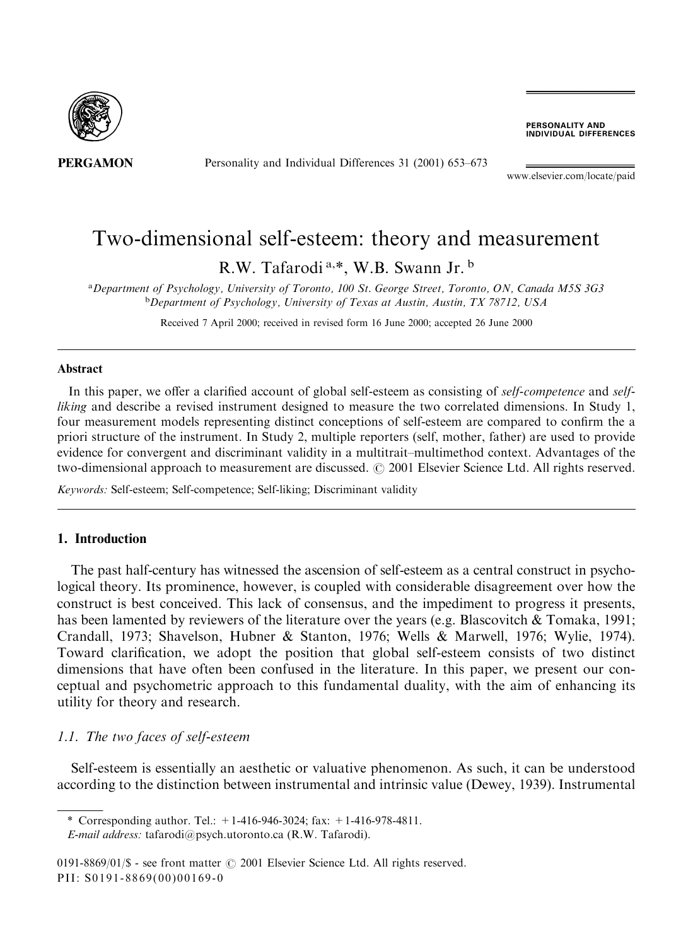

Personality and Individual Differences 31 (2001) 653-673

**PERSONALITY AND<br>INDIVIDUAL DIFFERENCES** 

www.elsevier.com/locate/paid

# Two-dimensional self-esteem: theory and measurement

R.W. Tafarodi<sup>a,\*</sup>, W.B. Swann Jr.<sup>b</sup>

<sup>a</sup>Department of Psychology, University of Toronto, 100 St. George Street, Toronto, ON, Canada M5S 3G3 <sup>b</sup>Department of Psychology, University of Texas at Austin, Austin, TX 78712, USA

Received 7 April 2000; received in revised form 16 June 2000; accepted 26 June 2000

#### Abstract

In this paper, we offer a clarified account of global self-esteem as consisting of self-competence and self*liking* and describe a revised instrument designed to measure the two correlated dimensions. In Study 1, four measurement models representing distinct conceptions of self-esteem are compared to confirm the a priori structure of the instrument. In Study 2, multiple reporters (self, mother, father) are used to provide evidence for convergent and discriminant validity in a multitrait-multimethod context. Advantages of the two-dimensional approach to measurement are discussed. © 2001 Elsevier Science Ltd. All rights reserved.

Keywords: Self-esteem; Self-competence; Self-liking; Discriminant validity

# 1. Introduction

The past half-century has witnessed the ascension of self-esteem as a central construct in psychological theory. Its prominence, however, is coupled with considerable disagreement over how the construct is best conceived. This lack of consensus, and the impediment to progress it presents, has been lamented by reviewers of the literature over the years (e.g. Blascovitch & Tomaka, 1991; Crandall, 1973; Shavelson, Hubner & Stanton, 1976; Wells & Marwell, 1976; Wylie, 1974). Toward clarification, we adopt the position that global self-esteem consists of two distinct dimensions that have often been confused in the literature. In this paper, we present our conceptual and psychometric approach to this fundamental duality, with the aim of enhancing its utility for theory and research.

# 1.1. The two faces of self-esteem

Self-esteem is essentially an aesthetic or valuative phenomenon. As such, it can be understood according to the distinction between instrumental and intrinsic value (Dewey, 1939). Instrumental

\* Corresponding author. Tel.:  $+1-416-946-3024$ ; fax:  $+1-416-978-4811$ .

0191-8869/01/\$ - see front matter  $\odot$  2001 Elsevier Science Ltd. All rights reserved. PII: S0191-8869(00)00169-0

E-mail address: tafarodi@psych.utoronto.ca (R.W. Tafarodi).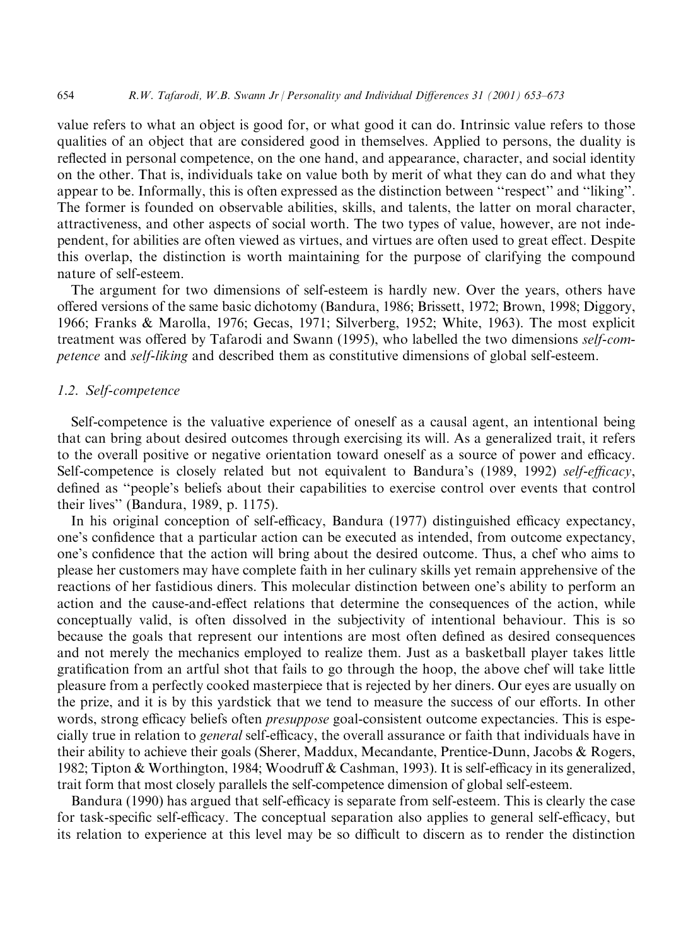value refers to what an object is good for, or what good it can do. Intrinsic value refers to those qualities of an object that are considered good in themselves. Applied to persons, the duality is reflected in personal competence, on the one hand, and appearance, character, and social identity on the other. That is, individuals take on value both by merit of what they can do and what they appear to be. Informally, this is often expressed as the distinction between "respect" and "liking". The former is founded on observable abilities, skills, and talents, the latter on moral character, attractiveness, and other aspects of social worth. The two types of value, however, are not independent, for abilities are often viewed as virtues, and virtues are often used to great effect. Despite this overlap, the distinction is worth maintaining for the purpose of clarifying the compound nature of self-esteem.

The argument for two dimensions of self-esteem is hardly new. Over the years, others have offered versions of the same basic dichotomy (Bandura, 1986; Brissett, 1972; Brown, 1998; Diggory, 1966; Franks & Marolla, 1976; Gecas, 1971; Silverberg, 1952; White, 1963). The most explicit treatment was offered by Tafarodi and Swann (1995), who labelled the two dimensions self-competence and self-liking and described them as constitutive dimensions of global self-esteem.

# 1.2. Self-competence

Self-competence is the valuative experience of oneself as a causal agent, an intentional being that can bring about desired outcomes through exercising its will. As a generalized trait, it refers to the overall positive or negative orientation toward oneself as a source of power and efficacy. Self-competence is closely related but not equivalent to Bandura's (1989, 1992) self-efficacy, defined as "people's beliefs about their capabilities to exercise control over events that control their lives" (Bandura, 1989, p. 1175).

In his original conception of self-efficacy, Bandura (1977) distinguished efficacy expectancy, one's confidence that a particular action can be executed as intended, from outcome expectancy, one's confidence that the action will bring about the desired outcome. Thus, a chef who aims to please her customers may have complete faith in her culinary skills yet remain apprehensive of the reactions of her fastidious diners. This molecular distinction between one's ability to perform an action and the cause-and-effect relations that determine the consequences of the action, while conceptually valid, is often dissolved in the subjectivity of intentional behaviour. This is so because the goals that represent our intentions are most often defined as desired consequences and not merely the mechanics employed to realize them. Just as a basketball player takes little gratification from an artful shot that fails to go through the hoop, the above chef will take little pleasure from a perfectly cooked masterpiece that is rejected by her diners. Our eyes are usually on the prize, and it is by this yardstick that we tend to measure the success of our efforts. In other words, strong efficacy beliefs often *presuppose* goal-consistent outcome expectancies. This is especially true in relation to *general* self-efficacy, the overall assurance or faith that individuals have in their ability to achieve their goals (Sherer, Maddux, Mecandante, Prentice-Dunn, Jacobs & Rogers, 1982; Tipton & Worthington, 1984; Woodruff & Cashman, 1993). It is self-efficacy in its generalized, trait form that most closely parallels the self-competence dimension of global self-esteem.

Bandura (1990) has argued that self-efficacy is separate from self-esteem. This is clearly the case for task-specific self-efficacy. The conceptual separation also applies to general self-efficacy, but its relation to experience at this level may be so difficult to discern as to render the distinction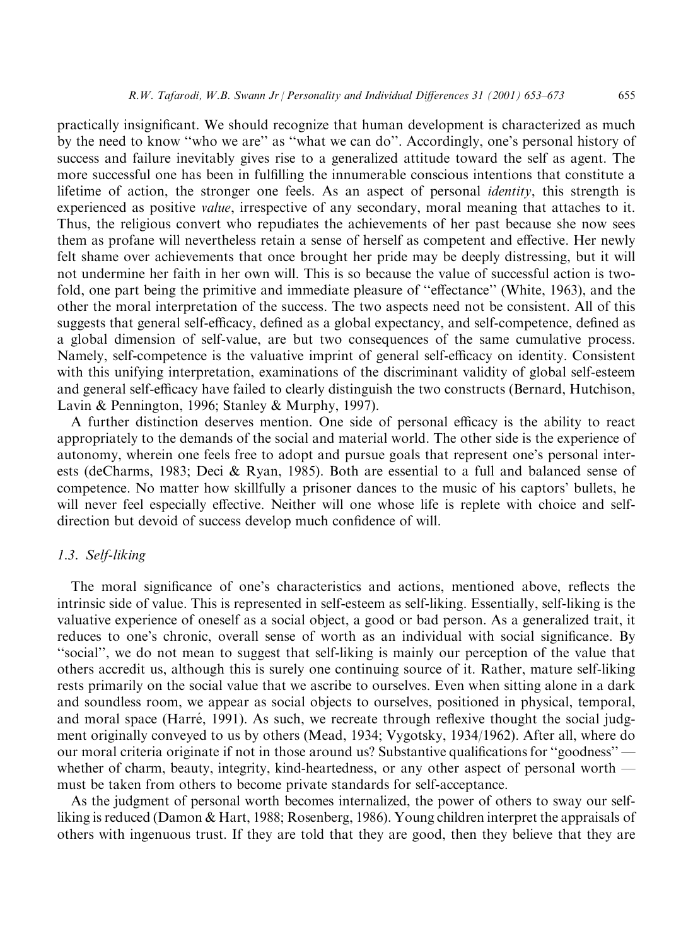655

practically insignificant. We should recognize that human development is characterized as much by the need to know "who we are" as "what we can do". Accordingly, one's personal history of success and failure inevitably gives rise to a generalized attitude toward the self as agent. The more successful one has been in fulfilling the innumerable conscious intentions that constitute a lifetime of action, the stronger one feels. As an aspect of personal *identity*, this strength is experienced as positive *value*, irrespective of any secondary, moral meaning that attaches to it. Thus, the religious convert who repudiates the achievements of her past because she now sees them as profane will nevertheless retain a sense of herself as competent and effective. Her newly felt shame over achievements that once brought her pride may be deeply distressing, but it will not undermine her faith in her own will. This is so because the value of successful action is twofold, one part being the primitive and immediate pleasure of "effectance" (White, 1963), and the other the moral interpretation of the success. The two aspects need not be consistent. All of this suggests that general self-efficacy, defined as a global expectancy, and self-competence, defined as a global dimension of self-value, are but two consequences of the same cumulative process. Namely, self-competence is the valuative imprint of general self-efficacy on identity. Consistent with this unifying interpretation, examinations of the discriminant validity of global self-esteem and general self-efficacy have failed to clearly distinguish the two constructs (Bernard, Hutchison, Lavin & Pennington, 1996; Stanley & Murphy, 1997).

A further distinction deserves mention. One side of personal efficacy is the ability to react appropriately to the demands of the social and material world. The other side is the experience of autonomy, wherein one feels free to adopt and pursue goals that represent one's personal interests (deCharms, 1983; Deci & Ryan, 1985). Both are essential to a full and balanced sense of competence. No matter how skillfully a prisoner dances to the music of his captors' bullets, he will never feel especially effective. Neither will one whose life is replete with choice and selfdirection but devoid of success develop much confidence of will.

# 1.3. Self-liking

The moral significance of one's characteristics and actions, mentioned above, reflects the intrinsic side of value. This is represented in self-esteem as self-liking. Essentially, self-liking is the valuative experience of oneself as a social object, a good or bad person. As a generalized trait, it reduces to one's chronic, overall sense of worth as an individual with social significance. By "social", we do not mean to suggest that self-liking is mainly our perception of the value that others accredit us, although this is surely one continuing source of it. Rather, mature self-liking rests primarily on the social value that we ascribe to ourselves. Even when sitting alone in a dark and soundless room, we appear as social objects to ourselves, positioned in physical, temporal, and moral space (Harré, 1991). As such, we recreate through reflexive thought the social judgment originally conveyed to us by others (Mead, 1934; Vygotsky, 1934/1962). After all, where do our moral criteria originate if not in those around us? Substantive qualifications for "goodness" whether of charm, beauty, integrity, kind-heartedness, or any other aspect of personal worth must be taken from others to become private standards for self-acceptance.

As the judgment of personal worth becomes internalized, the power of others to sway our selfliking is reduced (Damon & Hart, 1988; Rosenberg, 1986). Young children interpret the appraisals of others with ingenuous trust. If they are told that they are good, then they believe that they are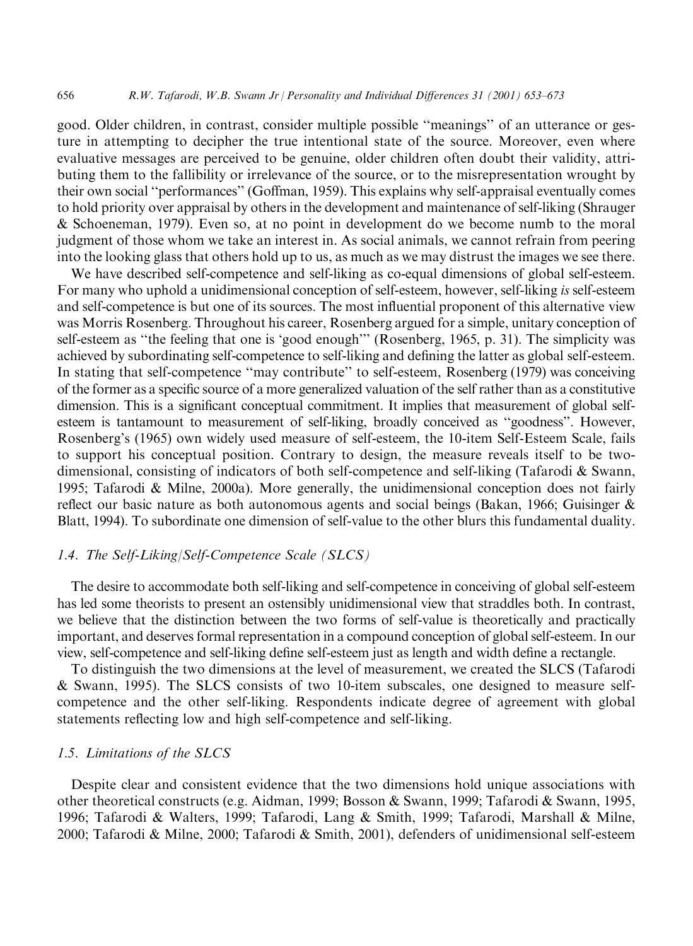good. Older children, in contrast, consider multiple possible "meanings" of an utterance or gesture in attempting to decipher the true intentional state of the source. Moreover, even where evaluative messages are perceived to be genuine, older children often doubt their validity, attributing them to the fallibility or irrelevance of the source, or to the misrepresentation wrought by their own social "performances" (Goffman, 1959). This explains why self-appraisal eventually comes to hold priority over appraisal by others in the development and maintenance of self-liking (Shrauger & Schoeneman, 1979). Even so, at no point in development do we become numb to the moral judgment of those whom we take an interest in. As social animals, we cannot refrain from peering into the looking glass that others hold up to us, as much as we may distrust the images we see there.

We have described self-competence and self-liking as co-equal dimensions of global self-esteem. For many who uphold a unidimensional conception of self-esteem, however, self-liking is self-esteem and self-competence is but one of its sources. The most influential proponent of this alternative view was Morris Rosenberg. Throughout his career, Rosenberg argued for a simple, unitary conception of self-esteem as "the feeling that one is 'good enough'" (Rosenberg, 1965, p. 31). The simplicity was achieved by subordinating self-competence to self-liking and defining the latter as global self-esteem. In stating that self-competence "may contribute" to self-esteem, Rosenberg (1979) was conceiving of the former as a specific source of a more generalized valuation of the self rather than as a constitutive dimension. This is a significant conceptual commitment. It implies that measurement of global selfesteem is tantamount to measurement of self-liking, broadly conceived as "goodness". However, Rosenberg's (1965) own widely used measure of self-esteem, the 10-item Self-Esteem Scale, fails to support his conceptual position. Contrary to design, the measure reveals itself to be twodimensional, consisting of indicators of both self-competence and self-liking (Tafarodi & Swann, 1995; Tafarodi & Milne, 2000a). More generally, the unidimensional conception does not fairly reflect our basic nature as both autonomous agents and social beings (Bakan, 1966; Guisinger  $\&$ Blatt, 1994). To subordinate one dimension of self-value to the other blurs this fundamental duality.

# 1.4. The Self-Liking/Self-Competence Scale (SLCS)

The desire to accommodate both self-liking and self-competence in conceiving of global self-esteem has led some theorists to present an ostensibly unidimensional view that straddles both. In contrast, we believe that the distinction between the two forms of self-value is theoretically and practically important, and deserves formal representation in a compound conception of global self-esteem. In our view, self-competence and self-liking define self-esteem just as length and width define a rectangle.

To distinguish the two dimensions at the level of measurement, we created the SLCS (Tafarodi & Swann, 1995). The SLCS consists of two 10-item subscales, one designed to measure selfcompetence and the other self-liking. Respondents indicate degree of agreement with global statements reflecting low and high self-competence and self-liking.

# 1.5. Limitations of the SLCS

656

Despite clear and consistent evidence that the two dimensions hold unique associations with other theoretical constructs (e.g. Aidman, 1999; Bosson & Swann, 1999; Tafarodi & Swann, 1995, 1996; Tafarodi & Walters, 1999; Tafarodi, Lang & Smith, 1999; Tafarodi, Marshall & Milne, 2000; Tafarodi & Milne, 2000; Tafarodi & Smith, 2001), defenders of unidimensional self-esteem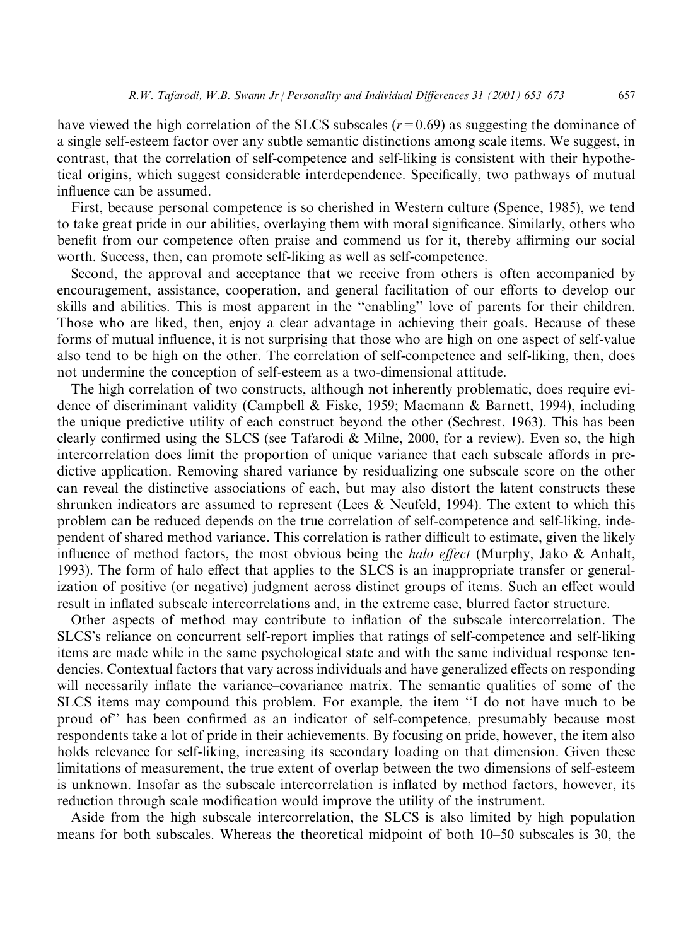have viewed the high correlation of the SLCS subscales  $(r=0.69)$  as suggesting the dominance of a single self-esteem factor over any subtle semantic distinctions among scale items. We suggest, in contrast, that the correlation of self-competence and self-liking is consistent with their hypothetical origins, which suggest considerable interdependence. Specifically, two pathways of mutual influence can be assumed.

First, because personal competence is so cherished in Western culture (Spence, 1985), we tend to take great pride in our abilities, overlaying them with moral significance. Similarly, others who benefit from our competence often praise and commend us for it, thereby affirming our social worth. Success, then, can promote self-liking as well as self-competence.

Second, the approval and acceptance that we receive from others is often accompanied by encouragement, assistance, cooperation, and general facilitation of our efforts to develop our skills and abilities. This is most apparent in the "enabling" love of parents for their children. Those who are liked, then, enjoy a clear advantage in achieving their goals. Because of these forms of mutual influence, it is not surprising that those who are high on one aspect of self-value also tend to be high on the other. The correlation of self-competence and self-liking, then, does not undermine the conception of self-esteem as a two-dimensional attitude.

The high correlation of two constructs, although not inherently problematic, does require evidence of discriminant validity (Campbell & Fiske, 1959; Macmann & Barnett, 1994), including the unique predictive utility of each construct beyond the other (Sechrest, 1963). This has been clearly confirmed using the SLCS (see Tafarodi & Milne, 2000, for a review). Even so, the high intercorrelation does limit the proportion of unique variance that each subscale affords in predictive application. Removing shared variance by residualizing one subscale score on the other can reveal the distinctive associations of each, but may also distort the latent constructs these shrunken indicators are assumed to represent (Lees & Neufeld, 1994). The extent to which this problem can be reduced depends on the true correlation of self-competence and self-liking, independent of shared method variance. This correlation is rather difficult to estimate, given the likely influence of method factors, the most obvious being the *halo effect* (Murphy, Jako & Anhalt, 1993). The form of halo effect that applies to the SLCS is an inappropriate transfer or generalization of positive (or negative) judgment across distinct groups of items. Such an effect would result in inflated subscale intercorrelations and, in the extreme case, blurred factor structure.

Other aspects of method may contribute to inflation of the subscale intercorrelation. The SLCS's reliance on concurrent self-report implies that ratings of self-competence and self-liking items are made while in the same psychological state and with the same individual response tendencies. Contextual factors that vary across individuals and have generalized effects on responding will necessarily inflate the variance-covariance matrix. The semantic qualities of some of the SLCS items may compound this problem. For example, the item "I do not have much to be proud of" has been confirmed as an indicator of self-competence, presumably because most respondents take a lot of pride in their achievements. By focusing on pride, however, the item also holds relevance for self-liking, increasing its secondary loading on that dimension. Given these limitations of measurement, the true extent of overlap between the two dimensions of self-esteem is unknown. Insofar as the subscale intercorrelation is inflated by method factors, however, its reduction through scale modification would improve the utility of the instrument.

Aside from the high subscale intercorrelation, the SLCS is also limited by high population means for both subscales. Whereas the theoretical midpoint of both 10–50 subscales is 30, the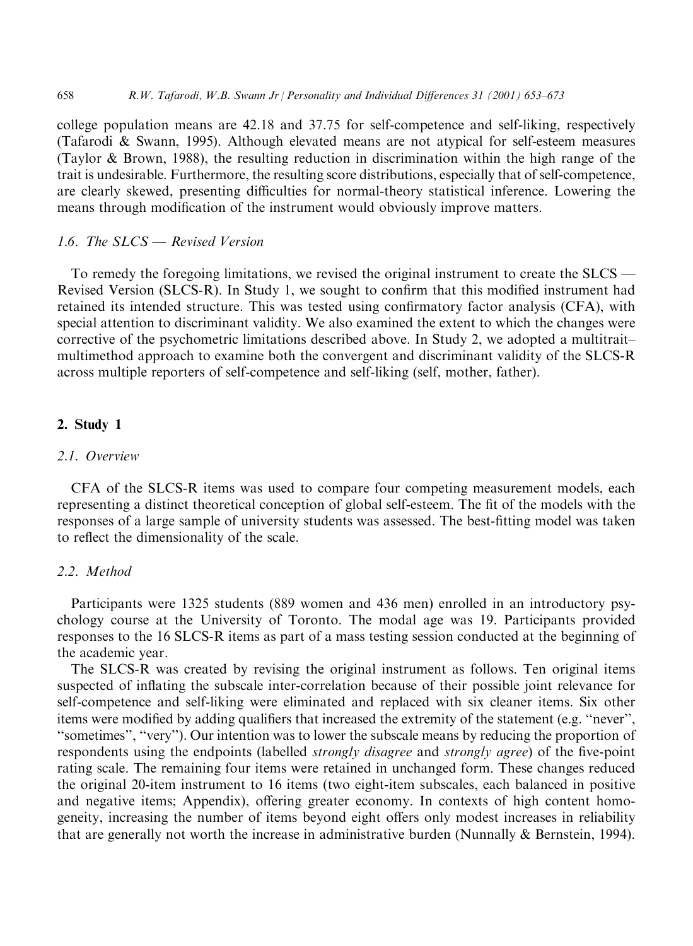college population means are 42.18 and 37.75 for self-competence and self-liking, respectively (Tafarodi & Swann, 1995). Although elevated means are not atypical for self-esteem measures (Taylor & Brown, 1988), the resulting reduction in discrimination within the high range of the trait is undesirable. Furthermore, the resulting score distributions, especially that of self-competence, are clearly skewed, presenting difficulties for normal-theory statistical inference. Lowering the means through modification of the instrument would obviously improve matters.

# 1.6. The SLCS - Revised Version

To remedy the foregoing limitations, we revised the original instrument to create the  $SLCS$  — Revised Version (SLCS-R). In Study 1, we sought to confirm that this modified instrument had retained its intended structure. This was tested using confirmatory factor analysis (CFA), with special attention to discriminant validity. We also examined the extent to which the changes were corrective of the psychometric limitations described above. In Study 2, we adopted a multitraitmultimethod approach to examine both the convergent and discriminant validity of the SLCS-R across multiple reporters of self-competence and self-liking (self, mother, father).

# 2. Study 1

# 2.1. Overview

CFA of the SLCS-R items was used to compare four competing measurement models, each representing a distinct theoretical conception of global self-esteem. The fit of the models with the responses of a large sample of university students was assessed. The best-fitting model was taken to reflect the dimensionality of the scale.

# 2.2. Method

Participants were 1325 students (889 women and 436 men) enrolled in an introductory psychology course at the University of Toronto. The modal age was 19. Participants provided responses to the 16 SLCS-R items as part of a mass testing session conducted at the beginning of the academic year.

The SLCS-R was created by revising the original instrument as follows. Ten original items suspected of inflating the subscale inter-correlation because of their possible joint relevance for self-competence and self-liking were eliminated and replaced with six cleaner items. Six other items were modified by adding qualifiers that increased the extremity of the statement (e.g. "never". "sometimes", "very"). Our intention was to lower the subscale means by reducing the proportion of respondents using the endpoints (labelled *strongly disagree* and *strongly agree*) of the five-point rating scale. The remaining four items were retained in unchanged form. These changes reduced the original 20-item instrument to 16 items (two eight-item subscales, each balanced in positive and negative items; Appendix), offering greater economy. In contexts of high content homogeneity, increasing the number of items beyond eight offers only modest increases in reliability that are generally not worth the increase in administrative burden (Nunnally & Bernstein, 1994).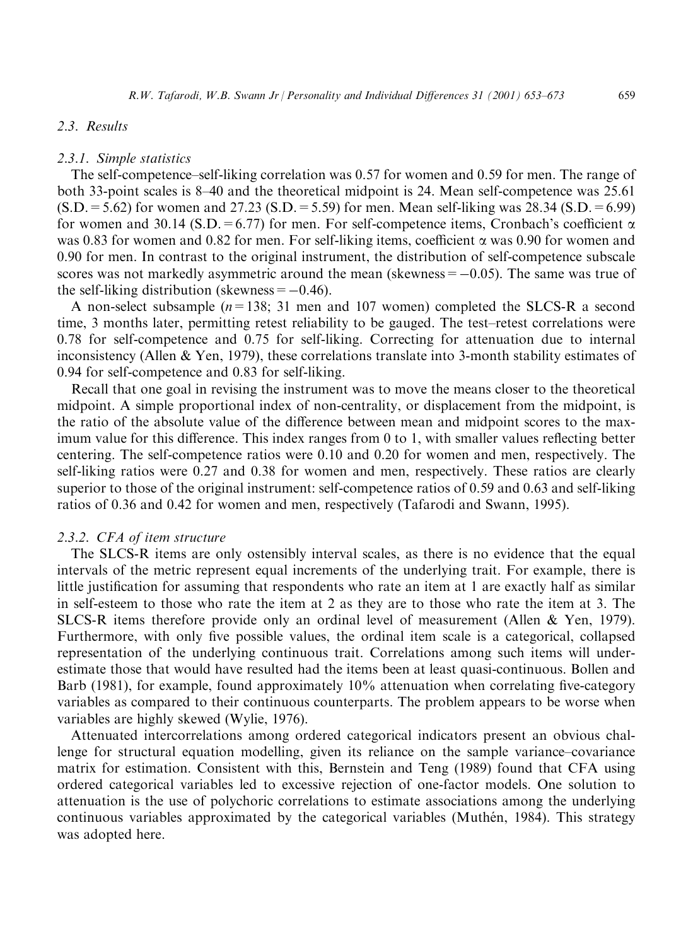# 2.3. Results

#### 2.3.1. Simple statistics

The self-competence-self-liking correlation was 0.57 for women and 0.59 for men. The range of both 33-point scales is 8–40 and the theoretical midpoint is 24. Mean self-competence was 25.61  $(S.D. = 5.62)$  for women and 27.23  $(S.D. = 5.59)$  for men. Mean self-liking was 28.34  $(S.D. = 6.99)$ for women and 30.14 (S.D. = 6.77) for men. For self-competence items, Cronbach's coefficient  $\alpha$ was 0.83 for women and 0.82 for men. For self-liking items, coefficient  $\alpha$  was 0.90 for women and 0.90 for men. In contrast to the original instrument, the distribution of self-competence subscale scores was not markedly asymmetric around the mean (skewness  $= -0.05$ ). The same was true of the self-liking distribution (skewness  $= -0.46$ ).

A non-select subsample  $(n=138; 31$  men and 107 women) completed the SLCS-R a second time, 3 months later, permitting retest reliability to be gauged. The test-retest correlations were 0.78 for self-competence and 0.75 for self-liking. Correcting for attenuation due to internal inconsistency (Allen & Yen, 1979), these correlations translate into 3-month stability estimates of 0.94 for self-competence and 0.83 for self-liking.

Recall that one goal in revising the instrument was to move the means closer to the theoretical midpoint. A simple proportional index of non-centrality, or displacement from the midpoint, is the ratio of the absolute value of the difference between mean and midpoint scores to the maximum value for this difference. This index ranges from 0 to 1, with smaller values reflecting better centering. The self-competence ratios were 0.10 and 0.20 for women and men, respectively. The self-liking ratios were 0.27 and 0.38 for women and men, respectively. These ratios are clearly superior to those of the original instrument: self-competence ratios of 0.59 and 0.63 and self-liking ratios of 0.36 and 0.42 for women and men, respectively (Tafarodi and Swann, 1995).

#### 2.3.2. CFA of item structure

The SLCS-R items are only ostensibly interval scales, as there is no evidence that the equal intervals of the metric represent equal increments of the underlying trait. For example, there is little justification for assuming that respondents who rate an item at 1 are exactly half as similar in self-esteem to those who rate the item at 2 as they are to those who rate the item at 3. The SLCS-R items therefore provide only an ordinal level of measurement (Allen & Yen, 1979). Furthermore, with only five possible values, the ordinal item scale is a categorical, collapsed representation of the underlying continuous trait. Correlations among such items will underestimate those that would have resulted had the items been at least quasi-continuous. Bollen and Barb (1981), for example, found approximately 10% attenuation when correlating five-category variables as compared to their continuous counterparts. The problem appears to be worse when variables are highly skewed (Wylie, 1976).

Attenuated intercorrelations among ordered categorical indicators present an obvious challenge for structural equation modelling, given its reliance on the sample variance-covariance matrix for estimation. Consistent with this, Bernstein and Teng (1989) found that CFA using ordered categorical variables led to excessive rejection of one-factor models. One solution to attenuation is the use of polychoric correlations to estimate associations among the underlying continuous variables approximated by the categorical variables (Muthén, 1984). This strategy was adopted here.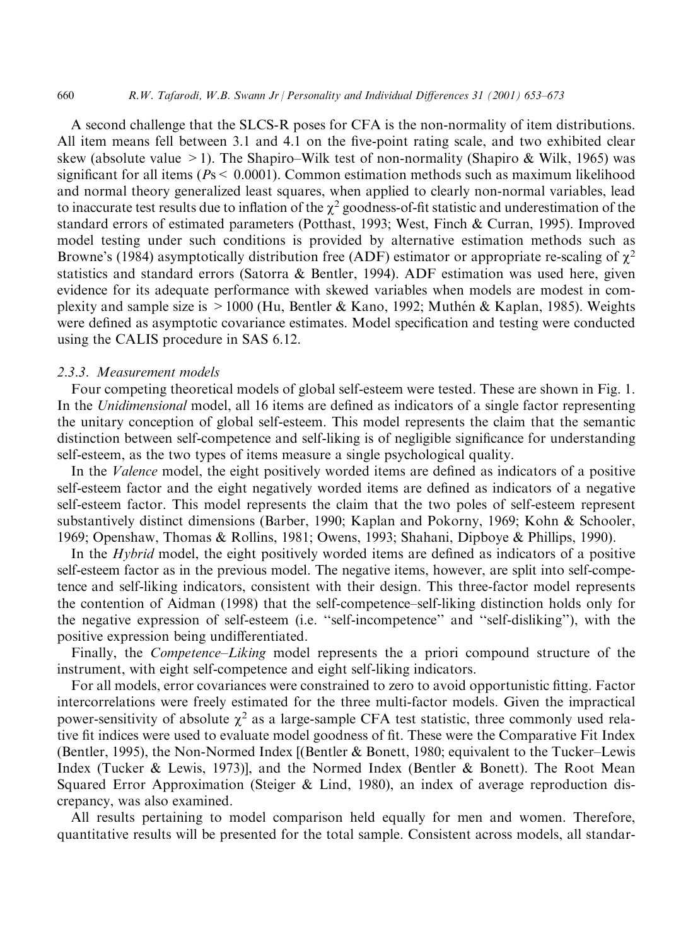A second challenge that the SLCS-R poses for CFA is the non-normality of item distributions. All item means fell between 3.1 and 4.1 on the five-point rating scale, and two exhibited clear skew (absolute value > 1). The Shapiro–Wilk test of non-normality (Shapiro & Wilk, 1965) was significant for all items ( $Ps < 0.0001$ ). Common estimation methods such as maximum likelihood and normal theory generalized least squares, when applied to clearly non-normal variables, lead to inaccurate test results due to inflation of the  $\chi^2$  goodness-of-fit statistic and underestimation of the standard errors of estimated parameters (Potthast, 1993; West, Finch & Curran, 1995). Improved model testing under such conditions is provided by alternative estimation methods such as Browne's (1984) asymptotically distribution free (ADF) estimator or appropriate re-scaling of  $\chi^2$ statistics and standard errors (Satorra & Bentler, 1994). ADF estimation was used here, given evidence for its adequate performance with skewed variables when models are modest in complexity and sample size is  $> 1000$  (Hu, Bentler & Kano, 1992; Muthén & Kaplan, 1985). Weights were defined as asymptotic covariance estimates. Model specification and testing were conducted using the CALIS procedure in SAS 6.12.

# 2.3.3. Measurement models

660

Four competing theoretical models of global self-esteem were tested. These are shown in Fig. 1. In the Unidimensional model, all 16 items are defined as indicators of a single factor representing the unitary conception of global self-esteem. This model represents the claim that the semantic distinction between self-competence and self-liking is of negligible significance for understanding self-esteem, as the two types of items measure a single psychological quality.

In the *Valence* model, the eight positively worded items are defined as indicators of a positive self-esteem factor and the eight negatively worded items are defined as indicators of a negative self-esteem factor. This model represents the claim that the two poles of self-esteem represent substantively distinct dimensions (Barber, 1990; Kaplan and Pokorny, 1969; Kohn & Schooler, 1969; Openshaw, Thomas & Rollins, 1981; Owens, 1993; Shahani, Dipboye & Phillips, 1990).

In the *Hybrid* model, the eight positively worded items are defined as indicators of a positive self-esteem factor as in the previous model. The negative items, however, are split into self-competence and self-liking indicators, consistent with their design. This three-factor model represents the contention of Aidman (1998) that the self-competence-self-liking distinction holds only for the negative expression of self-esteem (i.e. "self-incompetence" and "self-disliking"), with the positive expression being undifferentiated.

Finally, the *Competence–Liking* model represents the a priori compound structure of the instrument, with eight self-competence and eight self-liking indicators.

For all models, error covariances were constrained to zero to avoid opportunistic fitting. Factor intercorrelations were freely estimated for the three multi-factor models. Given the impractical power-sensitivity of absolute  $\chi^2$  as a large-sample CFA test statistic, three commonly used relative fit indices were used to evaluate model goodness of fit. These were the Comparative Fit Index (Bentler, 1995), the Non-Normed Index [(Bentler & Bonett, 1980; equivalent to the Tucker–Lewis Index (Tucker & Lewis, 1973)], and the Normed Index (Bentler & Bonett). The Root Mean Squared Error Approximation (Steiger & Lind, 1980), an index of average reproduction discrepancy, was also examined.

All results pertaining to model comparison held equally for men and women. Therefore, quantitative results will be presented for the total sample. Consistent across models, all standar-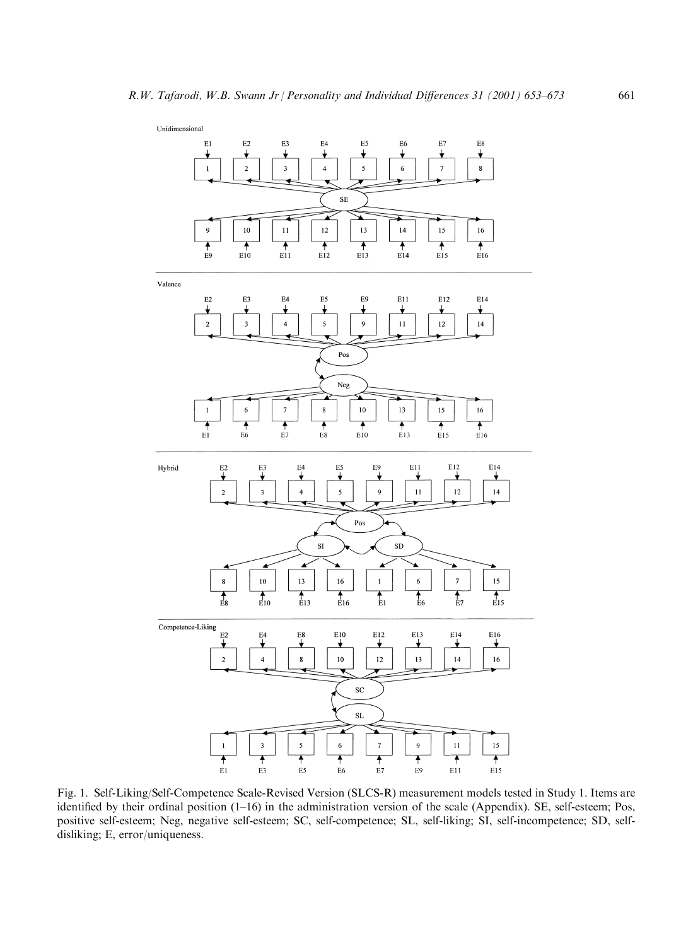

Fig. 1. Self-Liking/Self-Competence Scale-Revised Version (SLCS-R) measurement models tested in Study 1. Items are identified by their ordinal position  $(1-16)$  in the administration version of the scale (Appendix). SE, self-esteem; Pos, positive self-esteem; Neg, negative self-esteem; SC, self-competence; SL, self-liking; SI, self-incompetence; SD, selfdisliking; E, error/uniqueness.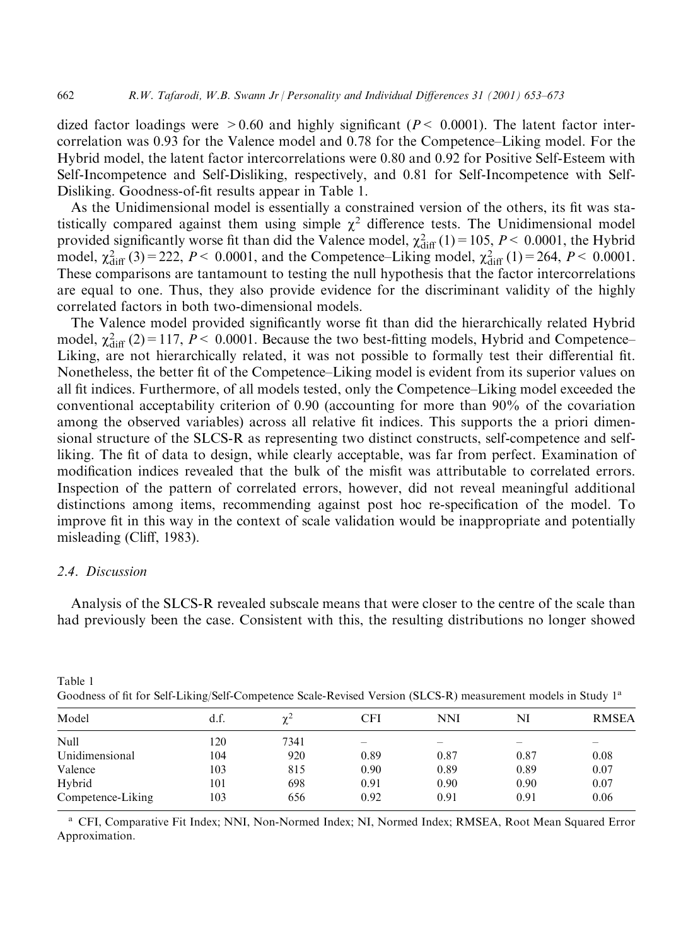dized factor loadings were  $>0.60$  and highly significant ( $P < 0.0001$ ). The latent factor intercorrelation was 0.93 for the Valence model and 0.78 for the Competence–Liking model. For the Hybrid model, the latent factor intercorrelations were 0.80 and 0.92 for Positive Self-Esteem with Self-Incompetence and Self-Disliking, respectively, and 0.81 for Self-Incompetence with Self-Disliking. Goodness-of-fit results appear in Table 1.

As the Unidimensional model is essentially a constrained version of the others, its fit was statistically compared against them using simple  $\chi^2$  difference tests. The Unidimensional model provided significantly worse fit than did the Valence model,  $\chi^2_{\text{diff}}(1) = 105$ ,  $P < 0.0001$ , the Hybrid model,  $\chi^2_{\text{diff}}(3) = 222$ ,  $P < 0.0001$ , and the Competence–Liking model,  $\chi^2_{\text{diff}}(1) = 264$ ,  $P < 0.0001$ . These comparisons are tantamount to testing the null hypothesis that the factor intercorrelations are equal to one. Thus, they also provide evidence for the discriminant validity of the highly correlated factors in both two-dimensional models.

The Valence model provided significantly worse fit than did the hierarchically related Hybrid model,  $\chi^2_{\text{diff}}(2) = 117$ ,  $P < 0.0001$ . Because the two best-fitting models, Hybrid and Competence-Liking, are not hierarchically related, it was not possible to formally test their differential fit. Nonetheless, the better fit of the Competence–Liking model is evident from its superior values on all fit indices. Furthermore, of all models tested, only the Competence–Liking model exceeded the conventional acceptability criterion of 0.90 (accounting for more than 90% of the covariation among the observed variables) across all relative fit indices. This supports the a priori dimensional structure of the SLCS-R as representing two distinct constructs, self-competence and selfliking. The fit of data to design, while clearly acceptable, was far from perfect. Examination of modification indices revealed that the bulk of the misfit was attributable to correlated errors. Inspection of the pattern of correlated errors, however, did not reveal meaningful additional distinctions among items, recommending against post hoc re-specification of the model. To improve fit in this way in the context of scale validation would be inappropriate and potentially misleading (Cliff, 1983).

# 2.4. Discussion

Table 1

Analysis of the SLCS-R revealed subscale means that were closer to the centre of the scale than had previously been the case. Consistent with this, the resulting distributions no longer showed

| Goodness of in for Self-Liking/Self-Competence Scale-Revised Version (SLCS-R) measurement models in Study 1 <sup>1</sup> |      |            |      |                          |      |              |  |  |  |
|--------------------------------------------------------------------------------------------------------------------------|------|------------|------|--------------------------|------|--------------|--|--|--|
| Model                                                                                                                    | d.f. | $\gamma^2$ | CFI  | <b>NNI</b>               | NI   | <b>RMSEA</b> |  |  |  |
| <b>Null</b>                                                                                                              | 120  | 7341       |      | $\overline{\phantom{a}}$ |      |              |  |  |  |
| Unidimensional                                                                                                           | 104  | 920        | 0.89 | 0.87                     | 0.87 | 0.08         |  |  |  |
| Valence                                                                                                                  | 103  | 815        | 0.90 | 0.89                     | 0.89 | 0.07         |  |  |  |
| Hybrid                                                                                                                   | 101  | 698        | 0.91 | 0.90                     | 0.90 | 0.07         |  |  |  |
| Competence-Liking                                                                                                        | 103  | 656        | 0.92 | 0.91                     | 0.91 | 0.06         |  |  |  |

 $S_{\text{sub}}$  D animal Vancian (CLCCD)  $1.111111004.11110$ 

<sup>a</sup> CFI, Comparative Fit Index; NNI, Non-Normed Index; NI, Normed Index; RMSEA, Root Mean Squared Error Approximation.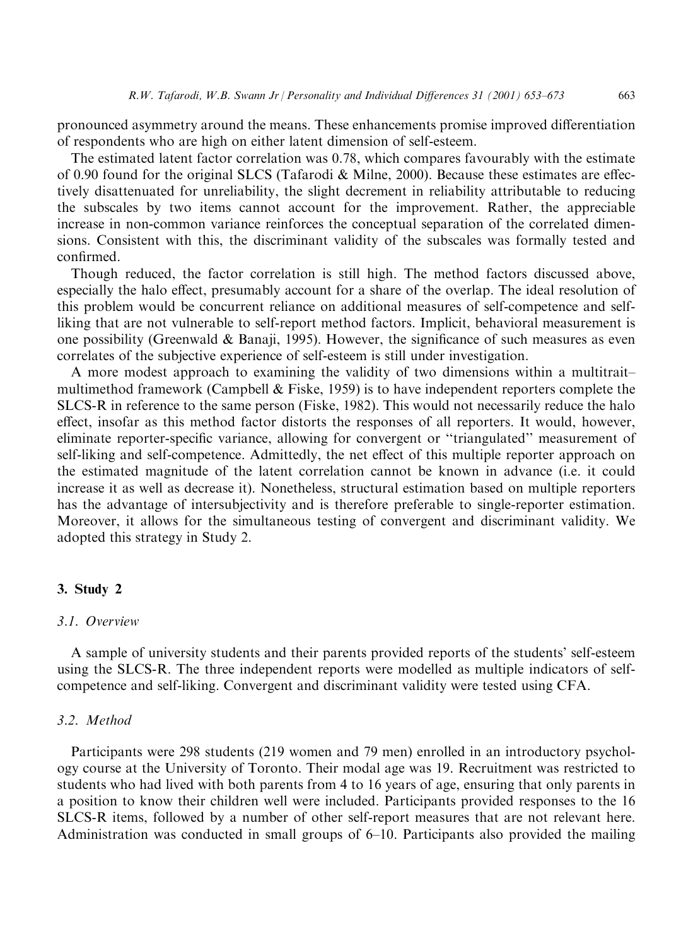pronounced asymmetry around the means. These enhancements promise improved differentiation of respondents who are high on either latent dimension of self-esteem.

The estimated latent factor correlation was 0.78, which compares favourably with the estimate of 0.90 found for the original SLCS (Tafarodi & Milne, 2000). Because these estimates are effectively disattenuated for unreliability, the slight decrement in reliability attributable to reducing the subscales by two items cannot account for the improvement. Rather, the appreciable increase in non-common variance reinforces the conceptual separation of the correlated dimensions. Consistent with this, the discriminant validity of the subscales was formally tested and confirmed.

Though reduced, the factor correlation is still high. The method factors discussed above, especially the halo effect, presumably account for a share of the overlap. The ideal resolution of this problem would be concurrent reliance on additional measures of self-competence and selfliking that are not vulnerable to self-report method factors. Implicit, behavioral measurement is one possibility (Greenwald & Banaji, 1995). However, the significance of such measures as even correlates of the subjective experience of self-esteem is still under investigation.

A more modest approach to examining the validity of two dimensions within a multitraitmultimethod framework (Campbell & Fiske, 1959) is to have independent reporters complete the SLCS-R in reference to the same person (Fiske, 1982). This would not necessarily reduce the halo effect, insofar as this method factor distorts the responses of all reporters. It would, however, eliminate reporter-specific variance, allowing for convergent or "triangulated" measurement of self-liking and self-competence. Admittedly, the net effect of this multiple reporter approach on the estimated magnitude of the latent correlation cannot be known in advance (i.e. it could increase it as well as decrease it). Nonetheless, structural estimation based on multiple reporters has the advantage of intersubjectivity and is therefore preferable to single-reporter estimation. Moreover, it allows for the simultaneous testing of convergent and discriminant validity. We adopted this strategy in Study 2.

#### 3. Study 2

# 3.1. Overview

A sample of university students and their parents provided reports of the students' self-esteem using the SLCS-R. The three independent reports were modelled as multiple indicators of selfcompetence and self-liking. Convergent and discriminant validity were tested using CFA.

#### 3.2. Method

Participants were 298 students (219 women and 79 men) enrolled in an introductory psychology course at the University of Toronto. Their modal age was 19. Recruitment was restricted to students who had lived with both parents from 4 to 16 years of age, ensuring that only parents in a position to know their children well were included. Participants provided responses to the 16 SLCS-R items, followed by a number of other self-report measures that are not relevant here. Administration was conducted in small groups of 6–10. Participants also provided the mailing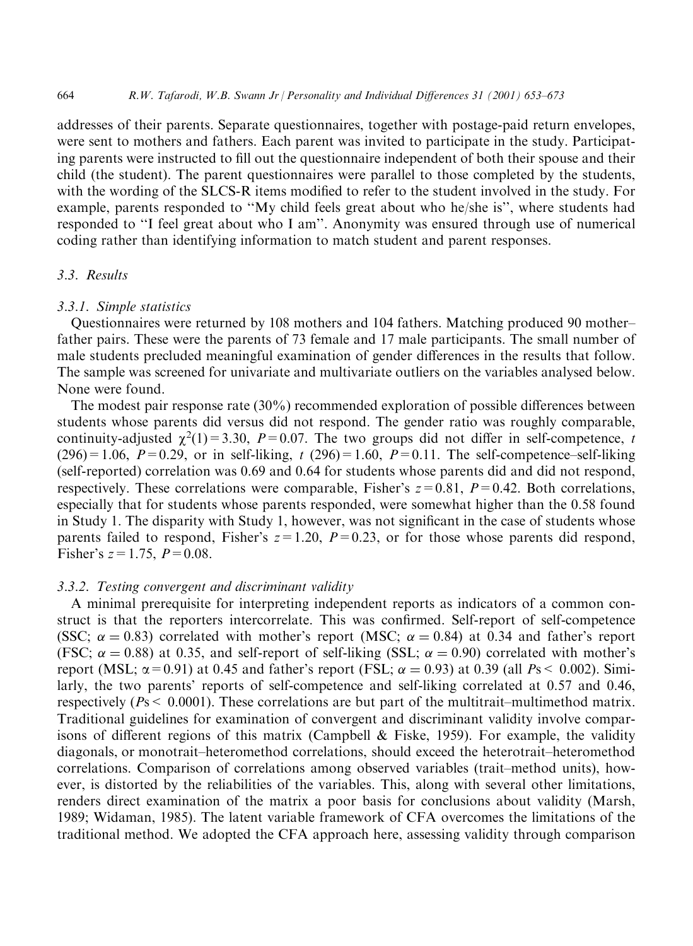addresses of their parents. Separate questionnaires, together with postage-paid return envelopes, were sent to mothers and fathers. Each parent was invited to participate in the study. Participating parents were instructed to fill out the questionnaire independent of both their spouse and their child (the student). The parent questionnaires were parallel to those completed by the students, with the wording of the SLCS-R items modified to refer to the student involved in the study. For example, parents responded to "My child feels great about who he/she is", where students had responded to "I feel great about who I am". Anonymity was ensured through use of numerical coding rather than identifying information to match student and parent responses.

## 3.3. Results

#### 3.3.1. Simple statistics

Questionnaires were returned by 108 mothers and 104 fathers. Matching produced 90 motherfather pairs. These were the parents of 73 female and 17 male participants. The small number of male students precluded meaningful examination of gender differences in the results that follow. The sample was screened for univariate and multivariate outliers on the variables analysed below. None were found.

The modest pair response rate  $(30\%)$  recommended exploration of possible differences between students whose parents did versus did not respond. The gender ratio was roughly comparable, continuity-adjusted  $\chi^2(1)$  = 3.30, P = 0.07. The two groups did not differ in self-competence, t  $(296) = 1.06$ ,  $P = 0.29$ , or in self-liking, t  $(296) = 1.60$ ,  $P = 0.11$ . The self-competence-self-liking (self-reported) correlation was 0.69 and 0.64 for students whose parents did and did not respond, respectively. These correlations were comparable, Fisher's  $z=0.81$ ,  $P=0.42$ . Both correlations, especially that for students whose parents responded, were somewhat higher than the 0.58 found in Study 1. The disparity with Study 1, however, was not significant in the case of students whose parents failed to respond, Fisher's  $z = 1.20$ ,  $P = 0.23$ , or for those whose parents did respond, Fisher's  $z = 1.75$ ,  $P = 0.08$ .

# 3.3.2. Testing convergent and discriminant validity

A minimal prerequisite for interpreting independent reports as indicators of a common construct is that the reporters intercorrelate. This was confirmed. Self-report of self-competence (SSC;  $\alpha = 0.83$ ) correlated with mother's report (MSC;  $\alpha = 0.84$ ) at 0.34 and father's report (FSC;  $\alpha = 0.88$ ) at 0.35, and self-report of self-liking (SSL;  $\alpha = 0.90$ ) correlated with mother's report (MSL;  $\alpha$  = 0.91) at 0.45 and father's report (FSL;  $\alpha$  = 0.93) at 0.39 (all Ps < 0.002). Similarly, the two parents' reports of self-competence and self-liking correlated at 0.57 and 0.46, respectively ( $Ps < 0.0001$ ). These correlations are but part of the multitrait-multimethod matrix. Traditional guidelines for examination of convergent and discriminant validity involve comparisons of different regions of this matrix (Campbell & Fiske, 1959). For example, the validity diagonals, or monotrait-heteromethod correlations, should exceed the heterotrait-heteromethod correlations. Comparison of correlations among observed variables (trait-method units), however, is distorted by the reliabilities of the variables. This, along with several other limitations, renders direct examination of the matrix a poor basis for conclusions about validity (Marsh, 1989; Widaman, 1985). The latent variable framework of CFA overcomes the limitations of the traditional method. We adopted the CFA approach here, assessing validity through comparison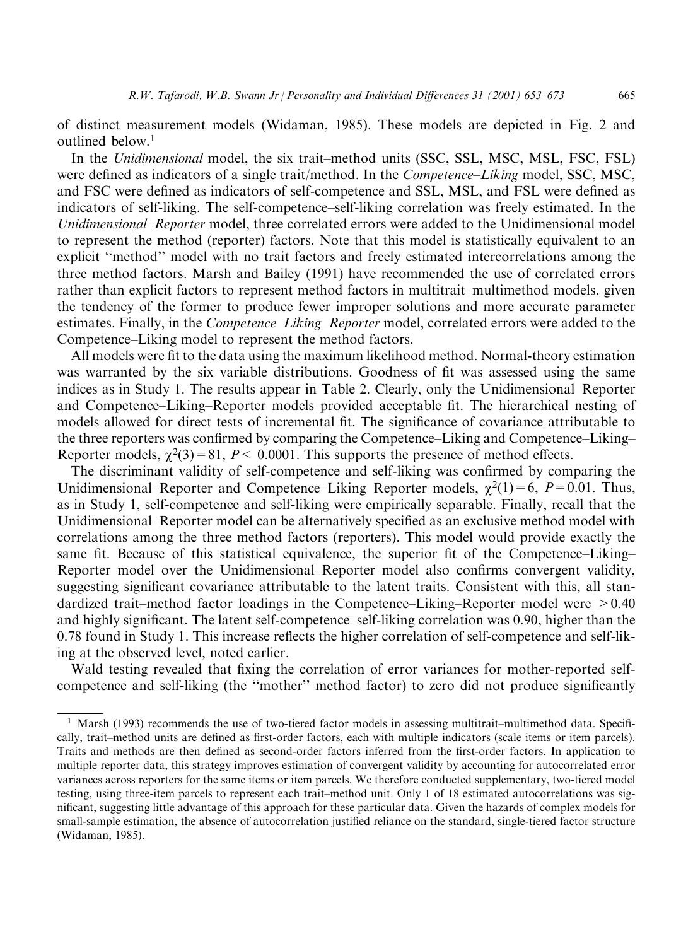of distinct measurement models (Widaman, 1985). These models are depicted in Fig. 2 and outlined below.<sup>1</sup>

In the Unidimensional model, the six trait-method units (SSC, SSL, MSC, MSL, FSC, FSL) were defined as indicators of a single trait/method. In the *Competence–Liking* model, SSC, MSC, and FSC were defined as indicators of self-competence and SSL, MSL, and FSL were defined as indicators of self-liking. The self-competence-self-liking correlation was freely estimated. In the Unidimensional–Reporter model, three correlated errors were added to the Unidimensional model to represent the method (reporter) factors. Note that this model is statistically equivalent to an explicit "method" model with no trait factors and freely estimated intercorrelations among the three method factors. Marsh and Bailey (1991) have recommended the use of correlated errors rather than explicit factors to represent method factors in multitrait-multimethod models, given the tendency of the former to produce fewer improper solutions and more accurate parameter estimates. Finally, in the *Competence–Liking–Reporter* model, correlated errors were added to the Competence–Liking model to represent the method factors.

All models were fit to the data using the maximum likelihood method. Normal-theory estimation was warranted by the six variable distributions. Goodness of fit was assessed using the same indices as in Study 1. The results appear in Table 2. Clearly, only the Unidimensional–Reporter and Competence–Liking–Reporter models provided acceptable fit. The hierarchical nesting of models allowed for direct tests of incremental fit. The significance of covariance attributable to the three reporters was confirmed by comparing the Competence–Liking and Competence–Liking– Reporter models,  $\chi^2(3) = 81$ ,  $P < 0.0001$ . This supports the presence of method effects.

The discriminant validity of self-competence and self-liking was confirmed by comparing the Unidimensional–Reporter and Competence–Liking–Reporter models,  $\chi^2(1) = 6$ ,  $P = 0.01$ . Thus, as in Study 1, self-competence and self-liking were empirically separable. Finally, recall that the Unidimensional–Reporter model can be alternatively specified as an exclusive method model with correlations among the three method factors (reporters). This model would provide exactly the same fit. Because of this statistical equivalence, the superior fit of the Competence-Liking-Reporter model over the Unidimensional–Reporter model also confirms convergent validity, suggesting significant covariance attributable to the latent traits. Consistent with this, all standardized trait-method factor loadings in the Competence-Liking-Reporter model were  $>0.40$ and highly significant. The latent self-competence-self-liking correlation was 0.90, higher than the 0.78 found in Study 1. This increase reflects the higher correlation of self-competence and self-liking at the observed level, noted earlier.

Wald testing revealed that fixing the correlation of error variances for mother-reported selfcompetence and self-liking (the "mother" method factor) to zero did not produce significantly

<sup>&</sup>lt;sup>1</sup> Marsh (1993) recommends the use of two-tiered factor models in assessing multitrait-multimethod data. Specifically, trait-method units are defined as first-order factors, each with multiple indicators (scale items or item parcels). Traits and methods are then defined as second-order factors inferred from the first-order factors. In application to multiple reporter data, this strategy improves estimation of convergent validity by accounting for autocorrelated error variances across reporters for the same items or item parcels. We therefore conducted supplementary, two-tiered model testing, using three-item parcels to represent each trait-method unit. Only 1 of 18 estimated autocorrelations was significant, suggesting little advantage of this approach for these particular data. Given the hazards of complex models for small-sample estimation, the absence of autocorrelation justified reliance on the standard, single-tiered factor structure (Widaman, 1985).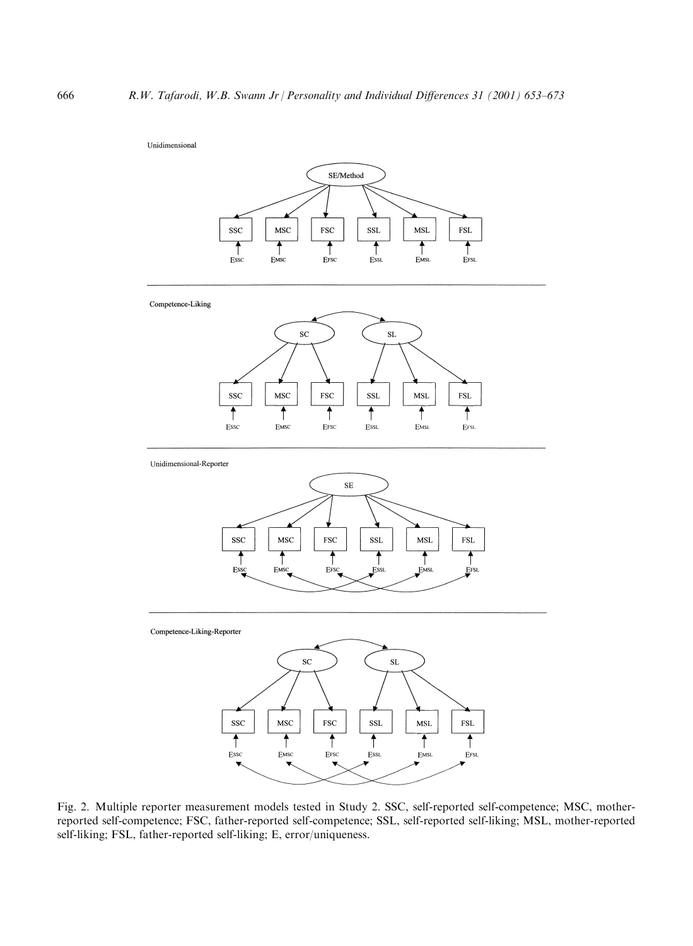#### Unidimensional



Fig. 2. Multiple reporter measurement models tested in Study 2. SSC, self-reported self-competence; MSC, motherreported self-competence; FSC, father-reported self-competence; SSL, self-reported self-liking; MSL, mother-reported self-liking; FSL, father-reported self-liking; E, error/uniqueness.

EFSC

Essc

EMSC

**Ess**L

EFSL

**EMSL**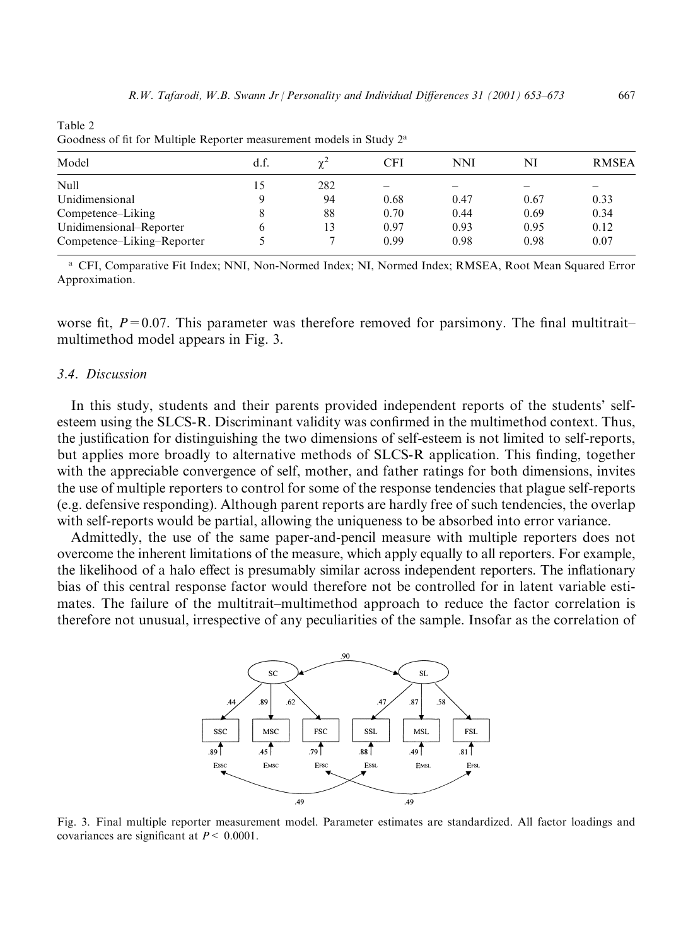| Model                      | d.f. | γ∸  | CFI                      | NNI  | NI   | <b>RMSEA</b> |  |  |  |
|----------------------------|------|-----|--------------------------|------|------|--------------|--|--|--|
| <b>Null</b>                | 15   | 282 | $\overline{\phantom{a}}$ |      |      |              |  |  |  |
| Unidimensional             | Q    | 94  | 0.68                     | 0.47 | 0.67 | 0.33         |  |  |  |
| Competence–Liking          |      | 88  | 0.70                     | 0.44 | 0.69 | 0.34         |  |  |  |
| Unidimensional–Reporter    | O    | 13  | 0.97                     | 0.93 | 0.95 | 0.12         |  |  |  |
| Competence–Liking–Reporter |      |     | 0.99                     | 0.98 | 0.98 | 0.07         |  |  |  |
|                            |      |     |                          |      |      |              |  |  |  |

Table 2 Goodness of fit for Multiple Reporter measurement models in Study 2<sup>a</sup>

a CFI, Comparative Fit Index; NNI, Non-Normed Index; NI, Normed Index; RMSEA, Root Mean Squared Error Approximation.

worse fit,  $P = 0.07$ . This parameter was therefore removed for parsimony. The final multitraitmultimethod model appears in Fig. 3.

# 3.4. Discussion

In this study, students and their parents provided independent reports of the students' selfesteem using the SLCS-R. Discriminant validity was confirmed in the multimethod context. Thus, the justification for distinguishing the two dimensions of self-esteem is not limited to self-reports, but applies more broadly to alternative methods of SLCS-R application. This finding, together with the appreciable convergence of self, mother, and father ratings for both dimensions, invites the use of multiple reporters to control for some of the response tendencies that plague self-reports (e.g. defensive responding). Although parent reports are hardly free of such tendencies, the overlap with self-reports would be partial, allowing the uniqueness to be absorbed into error variance.

Admittedly, the use of the same paper-and-pencil measure with multiple reporters does not overcome the inherent limitations of the measure, which apply equally to all reporters. For example, the likelihood of a halo effect is presumably similar across independent reporters. The inflationary bias of this central response factor would therefore not be controlled for in latent variable estimates. The failure of the multitrait-multimethod approach to reduce the factor correlation is therefore not unusual, irrespective of any peculiarities of the sample. Insofar as the correlation of



Fig. 3. Final multiple reporter measurement model. Parameter estimates are standardized. All factor loadings and covariances are significant at  $P < 0.0001$ .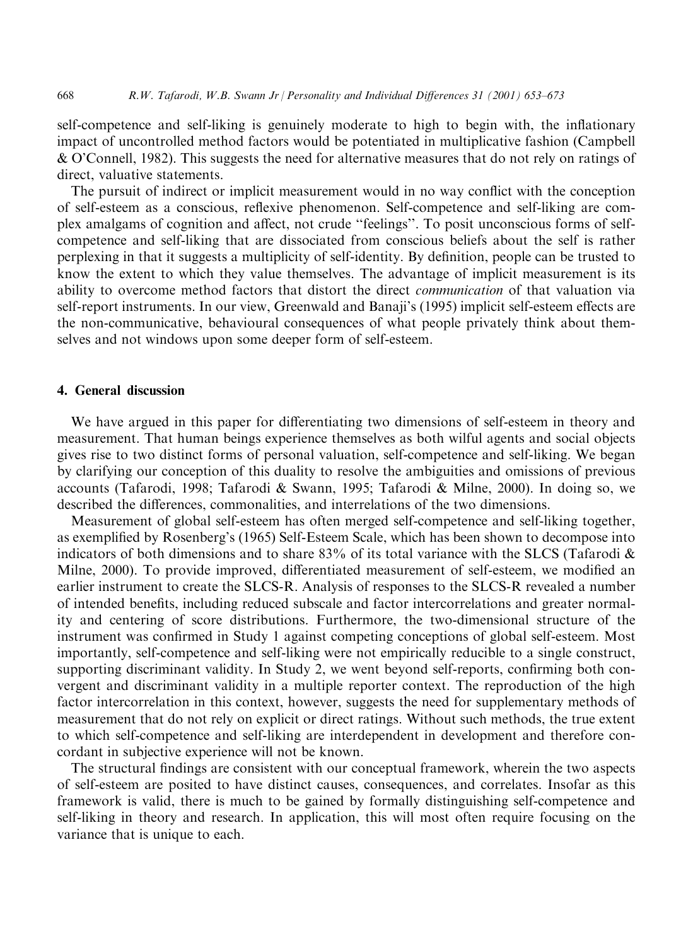self-competence and self-liking is genuinely moderate to high to begin with, the inflationary impact of uncontrolled method factors would be potentiated in multiplicative fashion (Campbell) & O'Connell, 1982). This suggests the need for alternative measures that do not rely on ratings of direct, valuative statements.

The pursuit of indirect or implicit measurement would in no way conflict with the conception of self-esteem as a conscious, reflexive phenomenon. Self-competence and self-liking are complex amalgams of cognition and affect, not crude "feelings". To posit unconscious forms of selfcompetence and self-liking that are dissociated from conscious beliefs about the self is rather perplexing in that it suggests a multiplicity of self-identity. By definition, people can be trusted to know the extent to which they value themselves. The advantage of implicit measurement is its ability to overcome method factors that distort the direct *communication* of that valuation via self-report instruments. In our view, Greenwald and Banaji's (1995) implicit self-esteem effects are the non-communicative, behavioural consequences of what people privately think about themselves and not windows upon some deeper form of self-esteem.

# 4. General discussion

668

We have argued in this paper for differentiating two dimensions of self-esteem in theory and measurement. That human beings experience themselves as both wilful agents and social objects gives rise to two distinct forms of personal valuation, self-competence and self-liking. We began by clarifying our conception of this duality to resolve the ambiguities and omissions of previous accounts (Tafarodi, 1998; Tafarodi & Swann, 1995; Tafarodi & Milne, 2000). In doing so, we described the differences, commonalities, and interrelations of the two dimensions.

Measurement of global self-esteem has often merged self-competence and self-liking together, as exemplified by Rosenberg's (1965) Self-Esteem Scale, which has been shown to decompose into indicators of both dimensions and to share 83% of its total variance with the SLCS (Tafarodi  $\&$ Milne, 2000). To provide improved, differentiated measurement of self-esteem, we modified an earlier instrument to create the SLCS-R. Analysis of responses to the SLCS-R revealed a number of intended benefits, including reduced subscale and factor intercorrelations and greater normality and centering of score distributions. Furthermore, the two-dimensional structure of the instrument was confirmed in Study 1 against competing conceptions of global self-esteem. Most importantly, self-competence and self-liking were not empirically reducible to a single construct, supporting discriminant validity. In Study 2, we went beyond self-reports, confirming both convergent and discriminant validity in a multiple reporter context. The reproduction of the high factor intercorrelation in this context, however, suggests the need for supplementary methods of measurement that do not rely on explicit or direct ratings. Without such methods, the true extent to which self-competence and self-liking are interdependent in development and therefore concordant in subjective experience will not be known.

The structural findings are consistent with our conceptual framework, wherein the two aspects of self-esteem are posited to have distinct causes, consequences, and correlates. Insofar as this framework is valid, there is much to be gained by formally distinguishing self-competence and self-liking in theory and research. In application, this will most often require focusing on the variance that is unique to each.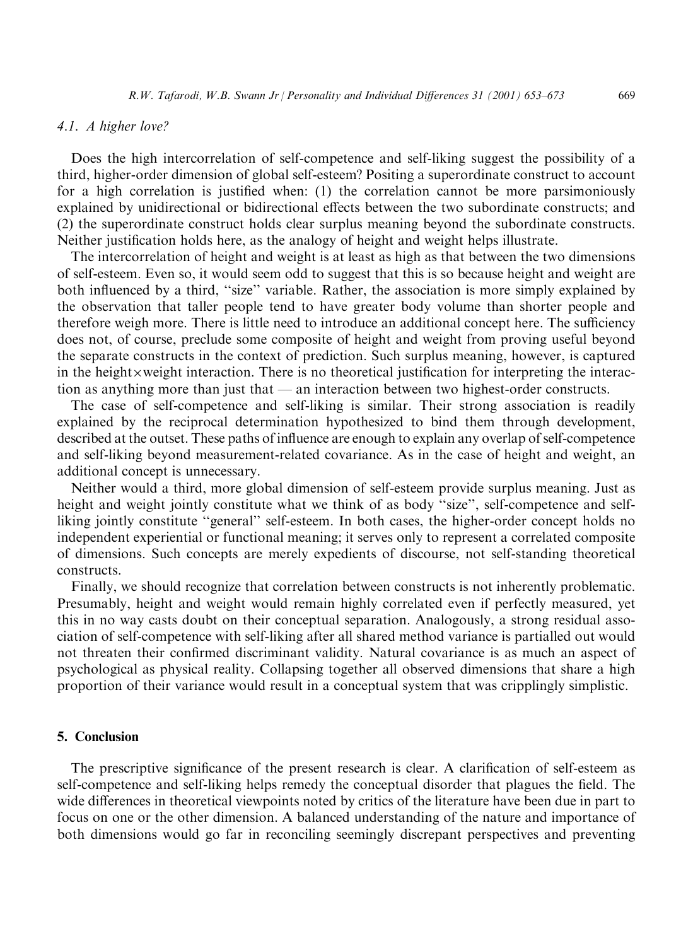#### 4.1. A higher love?

Does the high intercorrelation of self-competence and self-liking suggest the possibility of a third, higher-order dimension of global self-esteem? Positing a superordinate construct to account for a high correlation is justified when: (1) the correlation cannot be more parsimoniously explained by unidirectional or bidirectional effects between the two subordinate constructs; and (2) the superordinate construct holds clear surplus meaning beyond the subordinate constructs. Neither justification holds here, as the analogy of height and weight helps illustrate.

The intercorrelation of height and weight is at least as high as that between the two dimensions of self-esteem. Even so, it would seem odd to suggest that this is so because height and weight are both influenced by a third, "size" variable. Rather, the association is more simply explained by the observation that taller people tend to have greater body volume than shorter people and therefore weigh more. There is little need to introduce an additional concept here. The sufficiency does not, of course, preclude some composite of height and weight from proving useful beyond the separate constructs in the context of prediction. Such surplus meaning, however, is captured in the height xweight interaction. There is no theoretical justification for interpreting the interaction as anything more than just that — an interaction between two highest-order constructs.

The case of self-competence and self-liking is similar. Their strong association is readily explained by the reciprocal determination hypothesized to bind them through development, described at the outset. These paths of influence are enough to explain any overlap of self-competence and self-liking beyond measurement-related covariance. As in the case of height and weight, an additional concept is unnecessary.

Neither would a third, more global dimension of self-esteem provide surplus meaning. Just as height and weight jointly constitute what we think of as body "size", self-competence and selfliking jointly constitute "general" self-esteem. In both cases, the higher-order concept holds no independent experiential or functional meaning; it serves only to represent a correlated composite of dimensions. Such concepts are merely expedients of discourse, not self-standing theoretical constructs.

Finally, we should recognize that correlation between constructs is not inherently problematic. Presumably, height and weight would remain highly correlated even if perfectly measured, yet this in no way casts doubt on their conceptual separation. Analogously, a strong residual association of self-competence with self-liking after all shared method variance is partialled out would not threaten their confirmed discriminant validity. Natural covariance is as much an aspect of psychological as physical reality. Collapsing together all observed dimensions that share a high proportion of their variance would result in a conceptual system that was cripplingly simplistic.

#### 5. Conclusion

The prescriptive significance of the present research is clear. A clarification of self-esteem as self-competence and self-liking helps remedy the conceptual disorder that plagues the field. The wide differences in theoretical viewpoints noted by critics of the literature have been due in part to focus on one or the other dimension. A balanced understanding of the nature and importance of both dimensions would go far in reconciling seemingly discrepant perspectives and preventing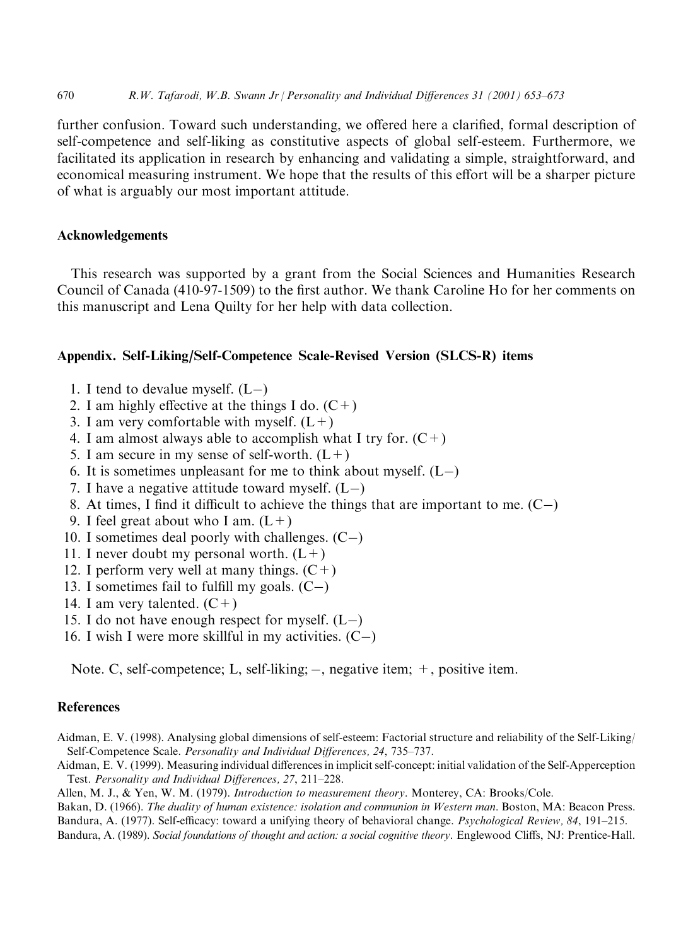further confusion. Toward such understanding, we offered here a clarified, formal description of self-competence and self-liking as constitutive aspects of global self-esteem. Furthermore, we facilitated its application in research by enhancing and validating a simple, straightforward, and economical measuring instrument. We hope that the results of this effort will be a sharper picture of what is arguably our most important attitude.

# **Acknowledgements**

This research was supported by a grant from the Social Sciences and Humanities Research Council of Canada (410-97-1509) to the first author. We thank Caroline Ho for her comments on this manuscript and Lena Quilty for her help with data collection.

# Appendix. Self-Liking/Self-Competence Scale-Revised Version (SLCS-R) items

- 1. I tend to devalue myself.  $(L-)$
- 2. I am highly effective at the things I do.  $(C+)$
- 3. I am very comfortable with myself.  $(L+)$
- 4. I am almost always able to accomplish what I try for.  $(C+)$
- 5. I am secure in my sense of self-worth.  $(L+)$
- 6. It is sometimes unpleasant for me to think about myself.  $(L-)$
- 7. I have a negative attitude toward myself.  $(L-)$
- 8. At times, I find it difficult to achieve the things that are important to me.  $(C-)$
- 9. I feel great about who I am.  $(L+)$
- 10. I sometimes deal poorly with challenges.  $(C-)$
- 11. I never doubt my personal worth.  $(L+)$
- 12. I perform very well at many things.  $(C+)$
- 13. I sometimes fail to fulfill my goals.  $(C-)$
- 14. I am very talented.  $(C+)$
- 15. I do not have enough respect for myself.  $(L-)$
- 16. I wish I were more skillful in my activities.  $(C-)$

Note. C, self-competence; L, self-liking;  $-$ , negative item;  $+$ , positive item.

# **References**

- Aidman, E. V. (1998). Analysing global dimensions of self-esteem: Factorial structure and reliability of the Self-Liking/ Self-Competence Scale. Personality and Individual Differences, 24, 735-737.
- Aidman, E. V. (1999). Measuring individual differences in implicit self-concept: initial validation of the Self-Apperception Test. Personality and Individual Differences, 27, 211-228.
- Allen, M. J., & Yen, W. M. (1979). Introduction to measurement theory. Monterey, CA: Brooks/Cole.
- Bakan, D. (1966). The duality of human existence: isolation and communion in Western man. Boston, MA: Beacon Press. Bandura, A. (1977). Self-efficacy: toward a unifying theory of behavioral change. *Psychological Review*, 84, 191–215.
- Bandura, A. (1989). Social foundations of thought and action: a social cognitive theory. Englewood Cliffs, NJ: Prentice-Hall.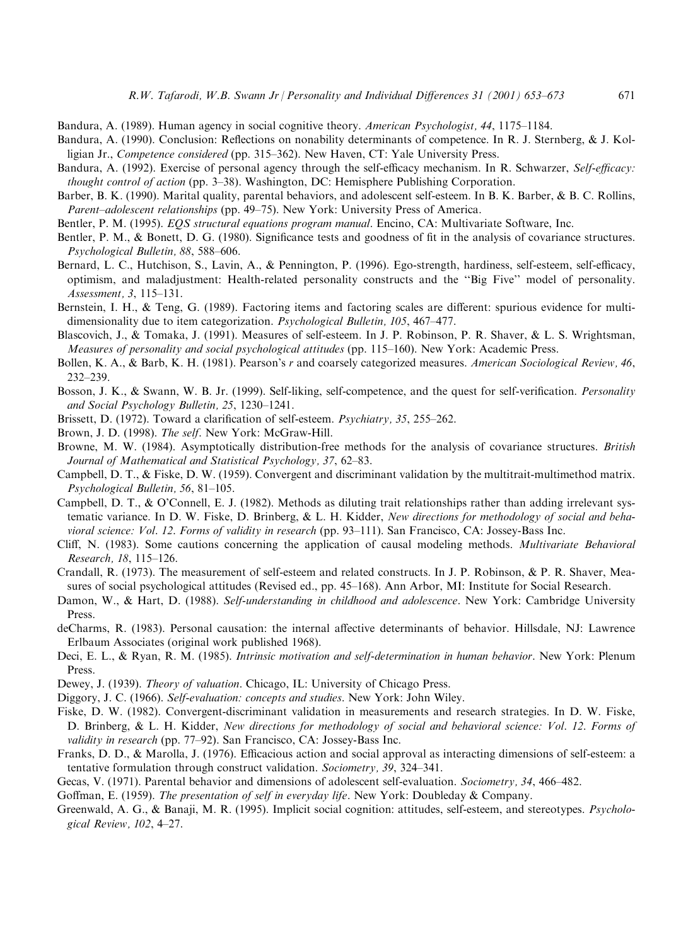Bandura, A. (1989). Human agency in social cognitive theory. American Psychologist, 44, 1175–1184.

- Bandura, A. (1990). Conclusion: Reflections on nonability determinants of competence. In R. J. Sternberg, & J. Kolligian Jr., Competence considered (pp. 315–362). New Haven, CT: Yale University Press.
- Bandura, A. (1992). Exercise of personal agency through the self-efficacy mechanism. In R. Schwarzer, Self-efficacy: thought control of action (pp. 3-38). Washington, DC: Hemisphere Publishing Corporation.
- Barber, B. K. (1990). Marital quality, parental behaviors, and adolescent self-esteem. In B. K. Barber, & B. C. Rollins, Parent–adolescent relationships (pp. 49–75). New York: University Press of America.

Bentler, P. M. (1995). EOS structural equations program manual. Encino, CA: Multivariate Software, Inc.

- Bentler, P. M., & Bonett, D. G. (1980). Significance tests and goodness of fit in the analysis of covariance structures. Psychological Bulletin, 88, 588-606.
- Bernard, L. C., Hutchison, S., Lavin, A., & Pennington, P. (1996). Ego-strength, hardiness, self-esteem, self-efficacy, optimism, and maladjustment: Health-related personality constructs and the "Big Five" model of personality. Assessment, 3, 115-131.
- Bernstein, I. H., & Teng, G. (1989). Factoring items and factoring scales are different: spurious evidence for multidimensionality due to item categorization. *Psychological Bulletin*, 105, 467–477.
- Blascovich, J., & Tomaka, J. (1991). Measures of self-esteem. In J. P. Robinson, P. R. Shaver, & L. S. Wrightsman, Measures of personality and social psychological attitudes (pp. 115–160). New York: Academic Press.
- Bollen, K. A., & Barb, K. H. (1981). Pearson's r and coarsely categorized measures. American Sociological Review, 46,  $232 - 239$ .
- Bosson, J. K., & Swann, W. B. Jr. (1999). Self-liking, self-competence, and the quest for self-verification. Personality and Social Psychology Bulletin, 25, 1230-1241.
- Brissett, D. (1972). Toward a clarification of self-esteem. *Psychiatry*, 35, 255–262.
- Brown, J. D. (1998). The self. New York: McGraw-Hill.
- Browne, M. W. (1984). Asymptotically distribution-free methods for the analysis of covariance structures. British Journal of Mathematical and Statistical Psychology, 37, 62–83.
- Campbell, D. T., & Fiske, D. W. (1959). Convergent and discriminant validation by the multitrait-multimethod matrix. Psychological Bulletin, 56, 81-105.
- Campbell, D. T., & O'Connell, E. J. (1982). Methods as diluting trait relationships rather than adding irrelevant systematic variance. In D. W. Fiske, D. Brinberg, & L. H. Kidder, New directions for methodology of social and behavioral science: Vol. 12. Forms of validity in research (pp. 93-111). San Francisco, CA: Jossey-Bass Inc.
- Cliff, N. (1983). Some cautions concerning the application of causal modeling methods. Multivariate Behavioral Research, 18, 115-126.
- Crandall, R. (1973). The measurement of self-esteem and related constructs. In J. P. Robinson, & P. R. Shaver, Measures of social psychological attitudes (Revised ed., pp. 45–168). Ann Arbor, MI: Institute for Social Research.
- Damon, W., & Hart, D. (1988). Self-understanding in childhood and adolescence. New York: Cambridge University Press.
- deCharms, R. (1983). Personal causation: the internal affective determinants of behavior. Hillsdale, NJ: Lawrence Erlbaum Associates (original work published 1968).
- Deci, E. L., & Ryan, R. M. (1985). Intrinsic motivation and self-determination in human behavior. New York: Plenum Press.
- Dewey, J. (1939). Theory of valuation. Chicago, IL: University of Chicago Press.
- Diggory, J. C. (1966). Self-evaluation: concepts and studies. New York: John Wiley.
- Fiske, D. W. (1982). Convergent-discriminant validation in measurements and research strategies. In D. W. Fiske, D. Brinberg, & L. H. Kidder, New directions for methodology of social and behavioral science: Vol. 12. Forms of validity in research (pp. 77-92). San Francisco, CA: Jossey-Bass Inc.
- Franks, D. D., & Marolla, J. (1976). Efficacious action and social approval as interacting dimensions of self-esteem: a tentative formulation through construct validation. Sociometry, 39, 324-341.
- Gecas, V. (1971). Parental behavior and dimensions of adolescent self-evaluation. Sociometry, 34, 466–482.
- Goffman, E. (1959). The presentation of self in everyday life. New York: Doubleday & Company.
- Greenwald, A. G., & Banaji, M. R. (1995). Implicit social cognition: attitudes, self-esteem, and stereotypes. *Psycholo*gical Review, 102, 4-27.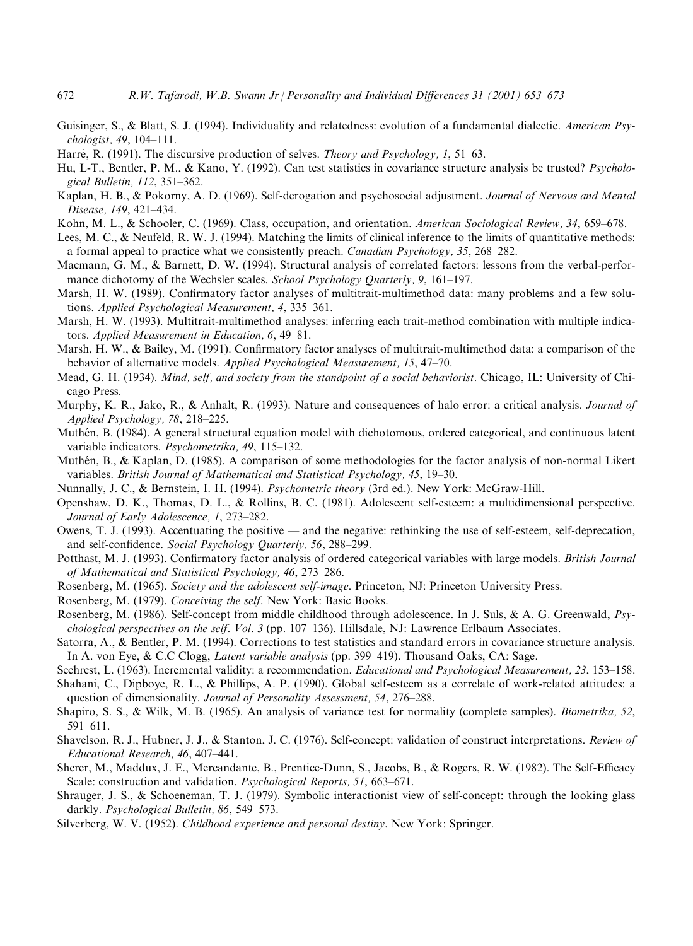- 672 R.W. Tafarodi, W.B. Swann Jr / Personality and Individual Differences 31 (2001) 653-673
- Guisinger, S., & Blatt, S. J. (1994). Individuality and relatedness: evolution of a fundamental dialectic. American Psy $chologist, 49, 104–111.$
- Harré, R. (1991). The discursive production of selves. *Theory and Psychology*, 1, 51–63.
- Hu, L-T., Bentler, P. M., & Kano, Y. (1992). Can test statistics in covariance structure analysis be trusted? Psychological Bulletin, 112, 351-362.
- Kaplan, H. B., & Pokorny, A. D. (1969). Self-derogation and psychosocial adjustment. Journal of Nervous and Mental Disease, 149, 421-434.
- Kohn, M. L., & Schooler, C. (1969). Class, occupation, and orientation. American Sociological Review, 34, 659–678.
- Lees, M. C., & Neufeld, R. W. J. (1994). Matching the limits of clinical inference to the limits of quantitative methods: a formal appeal to practice what we consistently preach. Canadian Psychology, 35, 268–282.
- Macmann, G. M., & Barnett, D. W. (1994). Structural analysis of correlated factors: lessons from the verbal-performance dichotomy of the Wechsler scales. School Psychology Quarterly, 9, 161–197.
- Marsh, H. W. (1989). Confirmatory factor analyses of multitrait-multimethod data: many problems and a few solutions. Applied Psychological Measurement, 4, 335–361.
- Marsh, H. W. (1993). Multitrait-multimethod analyses: inferring each trait-method combination with multiple indicators. Applied Measurement in Education, 6, 49-81.
- Marsh, H. W., & Bailey, M. (1991). Confirmatory factor analyses of multitrait-multimethod data: a comparison of the behavior of alternative models. Applied Psychological Measurement, 15, 47-70.
- Mead, G. H. (1934). Mind, self, and society from the standpoint of a social behaviorist. Chicago, IL: University of Chicago Press.
- Murphy, K. R., Jako, R., & Anhalt, R. (1993). Nature and consequences of halo error: a critical analysis. Journal of Applied Psychology, 78, 218-225.
- Muthén, B. (1984). A general structural equation model with dichotomous, ordered categorical, and continuous latent variable indicators. Psychometrika, 49, 115-132.
- Muthén, B., & Kaplan, D. (1985). A comparison of some methodologies for the factor analysis of non-normal Likert variables. British Journal of Mathematical and Statistical Psychology, 45, 19–30.
- Nunnally, J. C., & Bernstein, I. H. (1994). *Psychometric theory* (3rd ed.). New York: McGraw-Hill.
- Openshaw, D. K., Thomas, D. L., & Rollins, B. C. (1981). Adolescent self-esteem: a multidimensional perspective. Journal of Early Adolescence, 1, 273-282.
- Owens, T. J. (1993). Accentuating the positive and the negative: rethinking the use of self-esteem, self-deprecation, and self-confidence. Social Psychology Quarterly, 56, 288-299.
- Potthast, M. J. (1993). Confirmatory factor analysis of ordered categorical variables with large models. British Journal of Mathematical and Statistical Psychology, 46, 273-286.
- Rosenberg, M. (1965). Society and the adolescent self-image. Princeton, NJ: Princeton University Press.
- Rosenberg, M. (1979). Conceiving the self. New York: Basic Books.
- Rosenberg, M. (1986). Self-concept from middle childhood through adolescence. In J. Suls, & A. G. Greenwald, Psychological perspectives on the self. Vol. 3 (pp. 107–136). Hillsdale, NJ: Lawrence Erlbaum Associates.
- Satorra, A., & Bentler, P. M. (1994). Corrections to test statistics and standard errors in covariance structure analysis. In A. von Eye, & C.C Clogg, *Latent variable analysis* (pp. 399–419). Thousand Oaks, CA: Sage.
- Sechrest, L. (1963). Incremental validity: a recommendation. *Educational and Psychological Measurement*, 23, 153–158.
- Shahani, C., Dipboye, R. L., & Phillips, A. P. (1990). Global self-esteem as a correlate of work-related attitudes: a question of dimensionality. Journal of Personality Assessment, 54, 276-288.
- Shapiro, S. S., & Wilk, M. B. (1965). An analysis of variance test for normality (complete samples). *Biometrika*, 52,  $591 - 611.$
- Shavelson, R. J., Hubner, J. J., & Stanton, J. C. (1976). Self-concept: validation of construct interpretations. Review of Educational Research, 46, 407-441.
- Sherer, M., Maddux, J. E., Mercandante, B., Prentice-Dunn, S., Jacobs, B., & Rogers, R. W. (1982). The Self-Efficacy Scale: construction and validation. *Psychological Reports*, 51, 663–671.
- Shrauger, J. S., & Schoeneman, T. J. (1979). Symbolic interactionist view of self-concept: through the looking glass darkly. *Psychological Bulletin*, 86, 549–573.
- Silverberg, W. V. (1952). Childhood experience and personal destiny. New York: Springer.